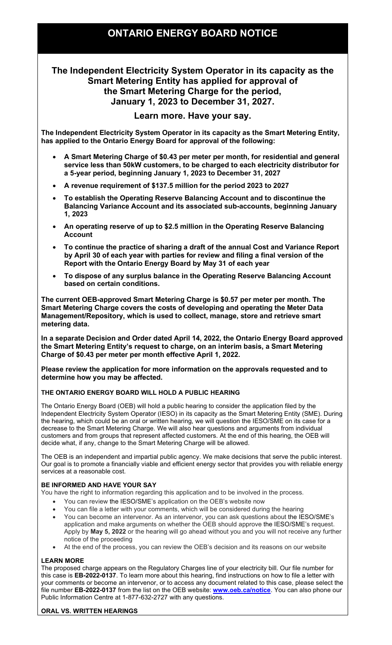# ONTARIO ENERGY BOARD NOTICE

## The Independent Electricity System Operator in its capacity as the Smart Metering Entity has applied for approval of the Smart Metering Charge for the period, January 1, 2023 to December 31, 2027.

### Learn more. Have your say.

 The Independent Electricity System Operator in its capacity as the Smart Metering Entity, has applied to the Ontario Energy Board for approval of the following:

- A Smart Metering Charge of \$0.43 per meter per month, for residential and general service less than 50kW customers, to be charged to each electricity distributor for a 5-year period, beginning January 1, 2023 to December 31, 2027
- A revenue requirement of \$137.5 million for the period 2023 to 2027
- To establish the Operating Reserve Balancing Account and to discontinue the Balancing Variance Account and its associated sub-accounts, beginning January 1, 2023
- An operating reserve of up to \$2.5 million in the Operating Reserve Balancing Account
- To continue the practice of sharing a draft of the annual Cost and Variance Report by April 30 of each year with parties for review and filing a final version of the Report with the Ontario Energy Board by May 31 of each year
- To dispose of any surplus balance in the Operating Reserve Balancing Account based on certain conditions.

 The current OEB-approved Smart Metering Charge is \$0.57 per meter per month. The Smart Metering Charge covers the costs of developing and operating the Meter Data Management/Repository, which is used to collect, manage, store and retrieve smart metering data.

 In a separate Decision and Order dated April 14, 2022, the Ontario Energy Board approved the Smart Metering Entity's request to charge, on an interim basis, a Smart Metering Charge of \$0.43 per meter per month effective April 1, 2022.

 Please review the application for more information on the approvals requested and to determine how you may be affected.

#### THE ONTARIO ENERGY BOARD WILL HOLD A PUBLIC HEARING

 The Ontario Energy Board (OEB) will hold a public hearing to consider the application filed by the Independent Electricity System Operator (IESO) in its capacity as the Smart Metering Entity (SME). During the hearing, which could be an oral or written hearing, we will question the IESO/SME on its case for a decrease to the Smart Metering Charge. We will also hear questions and arguments from individual customers and from groups that represent affected customers. At the end of this hearing, the OEB will decide what, if any, change to the Smart Metering Charge will be allowed.

 The OEB is an independent and impartial public agency. We make decisions that serve the public interest. Our goal is to promote a financially viable and efficient energy sector that provides you with reliable energy services at a reasonable cost.

#### BE INFORMED AND HAVE YOUR SAY

You have the right to information regarding this application and to be involved in the process.

- You can review the IESO/SME's application on the OEB's website now
- You can file a letter with your comments, which will be considered during the hearing
- application and make arguments on whether the OEB should approve the IESO/SME's request. Apply by May 5, 2022 or the hearing will go ahead without you and you will not receive any further notice of the proceeding You can become an intervenor. As an intervenor, you can ask questions about the IESO/SME's
- At the end of the process, you can review the OEB's decision and its reasons on our website

#### LEARN MORE

 The proposed charge appears on the Regulatory Charges line of your electricity bill. Our file number for this case is **EB-2022-0137**. To learn more about this hearing, find instructions on how to file a letter with your comments or become an intervenor, or to access any document related to this case, please select the file number **EB-2022-0137** from the list on the OEB website: <u><www.oeb.ca/notice></u>. You can also phone our Public Information Centre at 1-877-632-2727 with any questions.

#### ORAL VS. WRITTEN HEARINGS